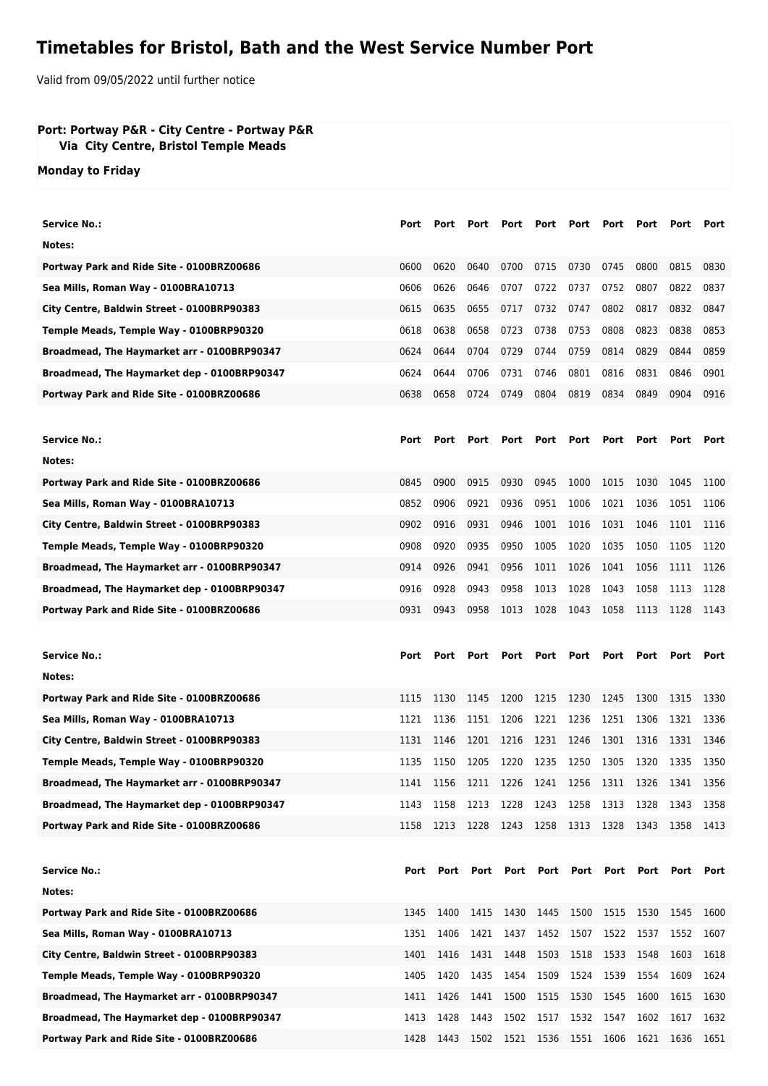## **Timetables for Bristol, Bath and the West Service Number Port**

Valid from 09/05/2022 until further notice

## **Port: Portway P&R - City Centre - Portway P&R Via City Centre, Bristol Temple Meads**

**Monday to Friday**

| Service No.:                                | Port | Port | Port                          | Port | Port | Port           | Port | Port      | Port | Port |
|---------------------------------------------|------|------|-------------------------------|------|------|----------------|------|-----------|------|------|
| Notes:                                      |      |      |                               |      |      |                |      |           |      |      |
| Portway Park and Ride Site - 0100BRZ00686   | 0600 | 0620 | 0640                          | 0700 | 0715 | 0730           | 0745 | 0800      | 0815 | 0830 |
| Sea Mills, Roman Way - 0100BRA10713         | 0606 | 0626 | 0646                          | 0707 | 0722 | 0737           | 0752 | 0807      | 0822 | 0837 |
| City Centre, Baldwin Street - 0100BRP90383  | 0615 | 0635 | 0655                          | 0717 | 0732 | 0747           | 0802 | 0817      | 0832 | 0847 |
| Temple Meads, Temple Way - 0100BRP90320     | 0618 | 0638 | 0658                          | 0723 | 0738 | 0753           | 0808 | 0823      | 0838 | 0853 |
| Broadmead, The Haymarket arr - 0100BRP90347 | 0624 | 0644 | 0704                          | 0729 | 0744 | 0759           | 0814 | 0829      | 0844 | 0859 |
| Broadmead, The Haymarket dep - 0100BRP90347 | 0624 | 0644 | 0706                          | 0731 | 0746 | 0801           | 0816 | 0831      | 0846 | 0901 |
| Portway Park and Ride Site - 0100BRZ00686   | 0638 | 0658 | 0724                          | 0749 | 0804 | 0819           | 0834 | 0849      | 0904 | 0916 |
|                                             |      |      |                               |      |      |                |      |           |      |      |
| <b>Service No.:</b>                         | Port | Port | Port                          | Port | Port | Port           | Port | Port      | Port | Port |
| Notes:                                      |      |      |                               |      |      |                |      |           |      |      |
| Portway Park and Ride Site - 0100BRZ00686   | 0845 | 0900 | 0915                          | 0930 | 0945 | 1000           | 1015 | 1030      | 1045 | 1100 |
| Sea Mills, Roman Way - 0100BRA10713         | 0852 | 0906 | 0921                          | 0936 | 0951 | 1006           | 1021 | 1036      | 1051 | 1106 |
| City Centre, Baldwin Street - 0100BRP90383  | 0902 | 0916 | 0931                          | 0946 | 1001 | 1016           | 1031 | 1046      | 1101 | 1116 |
| Temple Meads, Temple Way - 0100BRP90320     | 0908 | 0920 | 0935                          | 0950 | 1005 | 1020           | 1035 | 1050      | 1105 | 1120 |
| Broadmead, The Haymarket arr - 0100BRP90347 | 0914 | 0926 | 0941                          | 0956 | 1011 | 1026           | 1041 | 1056      | 1111 | 1126 |
| Broadmead, The Haymarket dep - 0100BRP90347 | 0916 | 0928 | 0943                          | 0958 | 1013 | 1028           | 1043 | 1058      | 1113 | 1128 |
| Portway Park and Ride Site - 0100BRZ00686   | 0931 | 0943 | 0958                          | 1013 | 1028 | 1043           | 1058 | 1113      | 1128 | 1143 |
|                                             |      |      |                               |      |      |                |      |           |      |      |
|                                             |      |      |                               |      |      |                |      |           |      |      |
| <b>Service No.:</b>                         | Port | Port | Port                          | Port | Port | Port           | Port | Port      | Port | Port |
| Notes:                                      |      |      |                               |      |      |                |      |           |      |      |
| Portway Park and Ride Site - 0100BRZ00686   | 1115 | 1130 | 1145                          | 1200 | 1215 | 1230           | 1245 | 1300      | 1315 | 1330 |
| Sea Mills, Roman Way - 0100BRA10713         | 1121 | 1136 | 1151                          | 1206 | 1221 | 1236           | 1251 | 1306      | 1321 | 1336 |
| City Centre, Baldwin Street - 0100BRP90383  | 1131 | 1146 | 1201                          | 1216 | 1231 | 1246           | 1301 | 1316      | 1331 | 1346 |
| Temple Meads, Temple Way - 0100BRP90320     | 1135 | 1150 | 1205                          | 1220 | 1235 | 1250           | 1305 | 1320      | 1335 | 1350 |
| Broadmead, The Haymarket arr - 0100BRP90347 | 1141 |      | 1156 1211 1226 1241 1256 1311 |      |      |                |      | 1326 1341 |      | 1356 |
| Broadmead, The Haymarket dep - 0100BRP90347 | 1143 | 1158 | 1213                          | 1228 | 1243 | 1258           | 1313 | 1328      | 1343 | 1358 |
| Portway Park and Ride Site - 0100BRZ00686   | 1158 | 1213 | 1228                          | 1243 | 1258 | 1313           | 1328 | 1343      | 1358 | 1413 |
|                                             |      |      |                               |      |      |                |      |           |      |      |
| <b>Service No.:</b>                         | Port | Port | Port                          |      |      | Port Port Port | Port | Port      | Port | Port |
| Notes:                                      |      |      |                               |      |      |                |      |           |      |      |
| Portway Park and Ride Site - 0100BRZ00686   | 1345 | 1400 | 1415                          | 1430 | 1445 | 1500           | 1515 | 1530      | 1545 | 1600 |
| Sea Mills, Roman Way - 0100BRA10713         | 1351 | 1406 | 1421                          | 1437 | 1452 | 1507           | 1522 | 1537      | 1552 | 1607 |
| City Centre, Baldwin Street - 0100BRP90383  | 1401 | 1416 | 1431                          | 1448 | 1503 | 1518           | 1533 | 1548      | 1603 | 1618 |
| Temple Meads, Temple Way - 0100BRP90320     | 1405 | 1420 | 1435                          | 1454 | 1509 | 1524           | 1539 | 1554      | 1609 | 1624 |
| Broadmead, The Haymarket arr - 0100BRP90347 | 1411 | 1426 | 1441                          | 1500 | 1515 | 1530           | 1545 | 1600      | 1615 | 1630 |
| Broadmead, The Haymarket dep - 0100BRP90347 | 1413 | 1428 | 1443                          | 1502 | 1517 | 1532           | 1547 | 1602      | 1617 | 1632 |